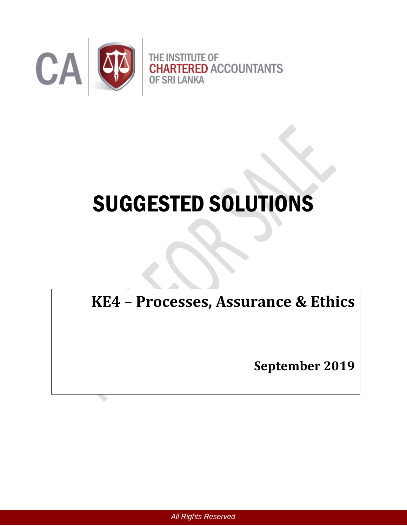

# SUGGESTED SOLUTIONS

**KE4 – Processes, Assurance & Ethics** 

**September 2019**

*All Rights Reserved*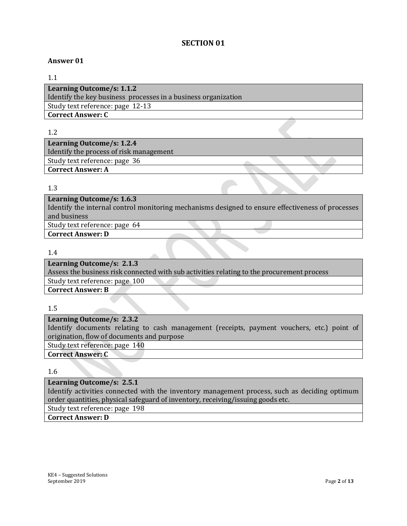## **SECTION 01**

## **Answer 01**

## 1.1

| Learning Outcome/s: 1.1.2                                      |  |  |
|----------------------------------------------------------------|--|--|
| Identify the key business processes in a business organization |  |  |
| Study text reference: page 12-13                               |  |  |
| <b>Correct Answer: C</b>                                       |  |  |

#### 1.2

| Learning Outcome/s: 1.2.4               |  |  |
|-----------------------------------------|--|--|
| Identify the process of risk management |  |  |
| Study text reference: page 36           |  |  |
| <b>Correct Answer: A</b>                |  |  |

#### 1.3

**Learning Outcome/s: 1.6.3** Identify the internal control monitoring mechanisms designed to ensure effectiveness of processes and business Study text reference: page 64 **Correct Answer: D**

#### 1.4

**Learning Outcome/s: 2.1.3** Assess the business risk connected with sub activities relating to the procurement process Study text reference: page 100 **Correct Answer: B**

1.5

**Learning Outcome/s: 2.3.2** Identify documents relating to cash management (receipts, payment vouchers, etc.) point of origination, flow of documents and purpose Study text reference: page 140 **Correct Answer: C**

1.6

**Learning Outcome/s: 2.5.1** Identify activities connected with the inventory management process, such as deciding optimum order quantities, physical safeguard of inventory, receiving/issuing goods etc. Study text reference: page 198 **Correct Answer: D**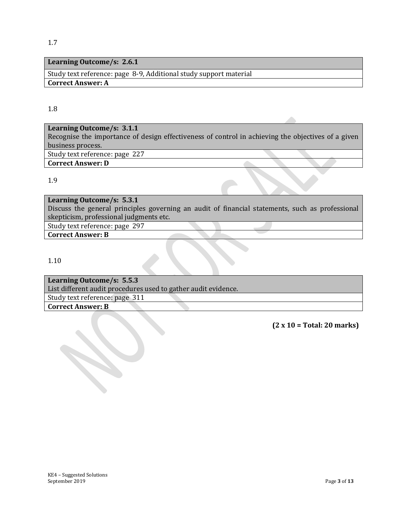## **Learning Outcome/s: 2.6.1**

Study text reference: page 8-9, Additional study support material **Correct Answer: A**

#### 1.8

**Learning Outcome/s: 3.1.1** Recognise the importance of design effectiveness of control in achieving the objectives of a given business process. Study text reference: page 227 **Correct Answer: D**

1.9

**Learning Outcome/s: 5.3.1** Discuss the general principles governing an audit of financial statements, such as professional skepticism, professional judgments etc. Study text reference: page 297

**Correct Answer: B**

1.10

**Learning Outcome/s: 5.5.3** List different audit procedures used to gather audit evidence. Study text reference: page 311 **Correct Answer: B**

**(2 x 10 = Total: 20 marks)**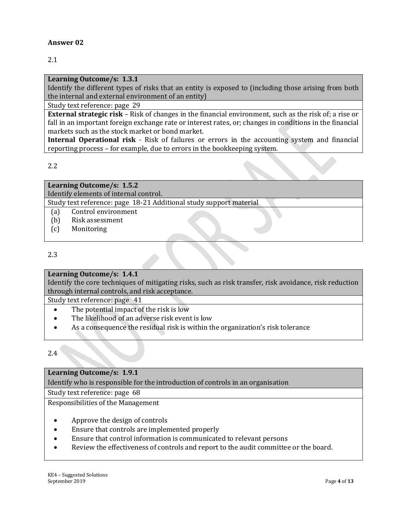## **Answer 02**

## 2.1

**Learning Outcome/s: 1.3.1**

Identify the different types of risks that an entity is exposed to (including those arising from both the internal and external environment of an entity)

Study text reference: page 29

**External strategic risk** – Risk of changes in the financial environment, such as the risk of; a rise or fall in an important foreign exchange rate or interest rates, or; changes in conditions in the financial markets such as the stock market or bond market.

**Internal Operational risk** - Risk of failures or errors in the accounting system and financial reporting process – for example, due to errors in the bookkeeping system.

2.2

**Learning Outcome/s: 1.5.2** Identify elements of internal control. Study text reference: page 18-21 Additional study support material (a) Control environment (b) Risk assessment (c) Monitoring

## 2.3

## **Learning Outcome/s: 1.4.1**

Identify the core techniques of mitigating risks, such as risk transfer, risk avoidance, risk reduction through internal controls, and risk acceptance.

Study text reference: page 41

- The potential impact of the risk is low
- The likelihood of an adverse risk event is low
- As a consequence the residual risk is within the organization's risk tolerance

2.4

| Learning Outcome/s: 1.9.1                                                       |
|---------------------------------------------------------------------------------|
| Identify who is responsible for the introduction of controls in an organisation |
| Study text reference: page 68                                                   |
| Responsibilities of the Management                                              |
| Approve the design of controls                                                  |

- Ensure that controls are implemented properly
- Ensure that control information is communicated to relevant persons
- Review the effectiveness of controls and report to the audit committee or the board.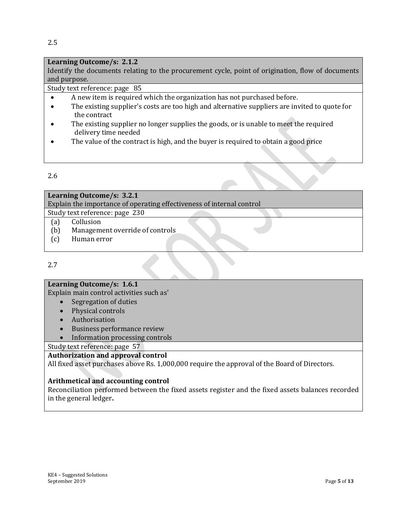## **Learning Outcome/s: 2.1.2**

Identify the documents relating to the procurement cycle, point of origination, flow of documents and purpose.

Study text reference: page 85

- A new item is required which the organization has not purchased before.
- The existing supplier's costs are too high and alternative suppliers are invited to quote for the contract
- The existing supplier no longer supplies the goods, or is unable to meet the required delivery time needed
- The value of the contract is high, and the buyer is required to obtain a good price

## 2.6

| Learning Outcome/s: 3.2.1                                             |  |  |
|-----------------------------------------------------------------------|--|--|
| Explain the importance of operating effectiveness of internal control |  |  |
| Study text reference: page 230                                        |  |  |
| Collusion<br>(a)                                                      |  |  |
| (b)<br>Management override of controls                                |  |  |
| (c)<br>Human error                                                    |  |  |
|                                                                       |  |  |
|                                                                       |  |  |

2.7

## **Learning Outcome/s: 1.6.1**

Explain main control activities such as'

- Segregation of duties
- Physical controls
- Authorisation
- Business performance review
- Information processing controls

Study text reference: page 57

## **Authorization and approval control**

All fixed asset purchases above Rs. 1,000,000 require the approval of the Board of Directors.

## **Arithmetical and accounting control**

Reconciliation performed between the fixed assets register and the fixed assets balances recorded in the general ledger**.**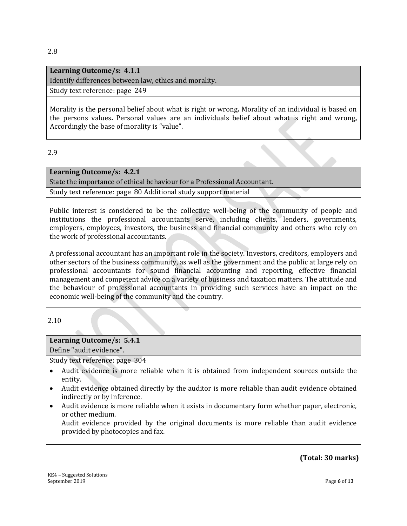## **Learning Outcome/s: 4.1.1** Identify differences between law, ethics and morality.

Study text reference: page 249

Morality is the personal belief about what is right or wrong**.** Morality of an individual is based on the persons values**.** Personal values are an individuals belief about what is right and wrong**,** Accordingly the base of morality is "value".

2.9

## **Learning Outcome/s: 4.2.1**

State the importance of ethical behaviour for a Professional Accountant.

Study text reference: page 80 Additional study support material

Public interest is considered to be the collective well-being of the community of people and institutions the professional accountants serve, including clients, lenders, governments, employers, employees, investors, the business and financial community and others who rely on the work of professional accountants.

A professional accountant has an important role in the society. Investors, creditors, employers and other sectors of the business community, as well as the government and the public at large rely on professional accountants for sound financial accounting and reporting, effective financial management and competent advice on a variety of business and taxation matters. The attitude and the behaviour of professional accountants in providing such services have an impact on the economic well-being of the community and the country.

2.10

| Learning Outcome/s: 5.4.1                                                                |  |
|------------------------------------------------------------------------------------------|--|
| Define "audit evidence".                                                                 |  |
| Study text reference: page 304                                                           |  |
| Audit evidence is more reliable when it is obtained from independent sources outside the |  |

- entity. Audit evidence obtained directly by the auditor is more reliable than audit evidence obtained indirectly or by inference.
- Audit evidence is more reliable when it exists in documentary form whether paper, electronic, or other medium. Audit evidence provided by the original documents is more reliable than audit evidence provided by photocopies and fax.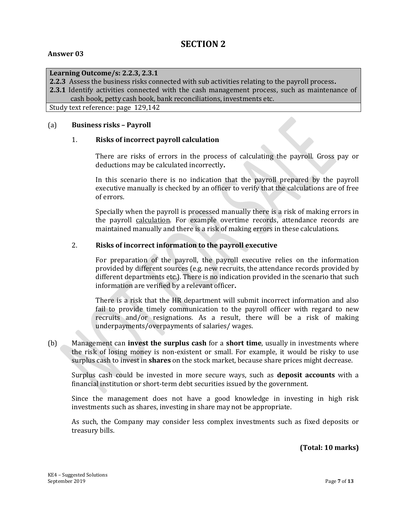# **SECTION 2**

#### **Answer 03**

## **Learning Outcome/s: 2.2.3, 2.3.1**

**2.2.3** Assess the business risks connected with sub activities relating to the payroll process**. 2.3.1** Identify activities connected with the cash management process, such as maintenance of cash book, petty cash book, bank reconciliations, investments etc.

Study text reference: page 129,142

#### (a) **Business risks – Payroll**

#### 1. **Risks of incorrect payroll calculation**

There are risks of errors in the process of calculating the payroll. Gross pay or deductions may be calculated incorrectly**.**

In this scenario there is no indication that the payroll prepared by the payroll executive manually is checked by an officer to verify that the calculations are of free of errors.

Specially when the payroll is processed manually there is a risk of making errors in the payroll calculation. For example overtime records, attendance records are maintained manually and there is a risk of making errors in these calculations.

#### 2. **Risks of incorrect information to the payroll executive**

For preparation of the payroll, the payroll executive relies on the information provided by different sources (e.g. new recruits, the attendance records provided by different departments etc.). There is no indication provided in the scenario that such information are verified by a relevant officer**.**

There is a risk that the HR department will submit incorrect information and also fail to provide timely communication to the payroll officer with regard to new recruits and/or resignations. As a result, there will be a risk of making underpayments/overpayments of salaries/ wages.

(b) Management can **invest the surplus cash** for a **short time**, usually in investments where the risk of losing money is non-existent or small. For example, it would be risky to use surplus cash to invest in **shares** on the stock market, because share prices might decrease.

Surplus cash could be invested in more secure ways, such as **deposit accounts** with a financial institution or short-term debt securities issued by the government.

Since the management does not have a good knowledge in investing in high risk investments such as shares, investing in share may not be appropriate.

As such, the Company may consider less complex investments such as fixed deposits or treasury bills.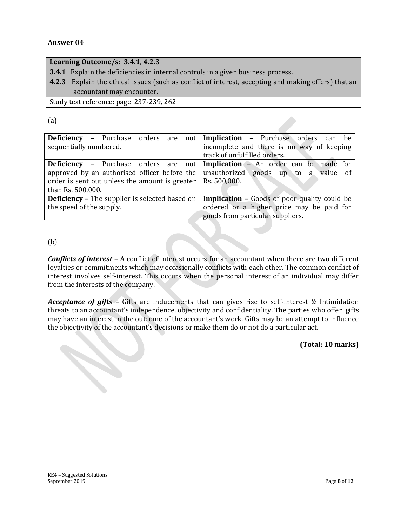## **Answer 04**

## **Learning Outcome/s: 3.4.1, 4.2.3**

**3.4.1** Explain the deficiencies in internal controls in a given business process.

**4.2.3** Explain the ethical issues (such as conflict of interest, accepting and making offers) that an accountant may encounter.

Study text reference: page 237-239, 262

## (a)

| <b>Deficiency</b> – Purchase orders are               | not   Implication - Purchase orders can be          |
|-------------------------------------------------------|-----------------------------------------------------|
| sequentially numbered.                                | incomplete and there is no way of keeping           |
|                                                       | track of unfulfilled orders.                        |
| <b>Deficiency</b> – Purchase orders are not           | Implication - An order can be made for              |
| approved by an authorised officer before the          | unauthorized goods up to a value of                 |
| order is sent out unless the amount is greater        | Rs. 500,000.                                        |
| than Rs. 500,000.                                     |                                                     |
| <b>Deficiency</b> - The supplier is selected based on | <b>Implication</b> – Goods of poor quality could be |
| the speed of the supply.                              | ordered or a higher price may be paid for           |
|                                                       | goods from particular suppliers.                    |

## (b)

*Conflicts of interest –* A conflict of interest occurs for an accountant when there are two different loyalties or commitments which may occasionally conflicts with each other. The common conflict of interest involves self-interest. This occurs when the personal interest of an individual may differ from the interests of the company.

*Acceptance of gifts* – Gifts are inducements that can gives rise to self-interest & Intimidation threats to an accountant's independence, objectivity and confidentiality. The parties who offer gifts may have an interest in the outcome of the accountant's work. Gifts may be an attempt to influence the objectivity of the accountant's decisions or make them do or not do a particular act.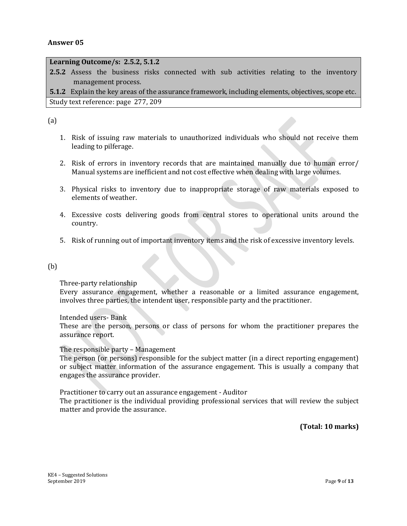#### **Answer 05**

#### **Learning Outcome/s: 2.5.2, 5.1.2**

**2.5.2** Assess the business risks connected with sub activities relating to the inventory management process.

**5.1.2** Explain the key areas of the assurance framework, including elements, objectives, scope etc. Study text reference: page 277, 209

#### (a)

- 1. Risk of issuing raw materials to unauthorized individuals who should not receive them leading to pilferage.
- 2. Risk of errors in inventory records that are maintained manually due to human error/ Manual systems are inefficient and not cost effective when dealing with large volumes.
- 3. Physical risks to inventory due to inappropriate storage of raw materials exposed to elements of weather.
- 4. Excessive costs delivering goods from central stores to operational units around the country.
- 5. Risk of running out of important inventory items and the risk of excessive inventory levels.

#### (b)

#### Three-party relationship

Every assurance engagement, whether a reasonable or a limited assurance engagement, involves three parties, the intendent user, responsible party and the practitioner.

#### Intended users- Bank

These are the person, persons or class of persons for whom the practitioner prepares the assurance report.

## The responsible party – Management

The person (or persons) responsible for the subject matter (in a direct reporting engagement) or subject matter information of the assurance engagement. This is usually a company that engages the assurance provider.

Practitioner to carry out an assurance engagement - Auditor

The practitioner is the individual providing professional services that will review the subject matter and provide the assurance.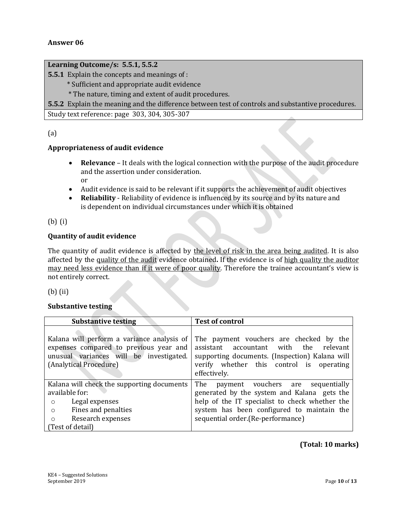## **Learning Outcome/s: 5.5.1, 5.5.2**

**5.5.1** Explain the concepts and meanings of :

\* Sufficient and appropriate audit evidence

\* The nature, timing and extent of audit procedures.

**5.5.2** Explain the meaning and the difference between test of controls and substantive procedures.

Study text reference: page 303, 304, 305-307

## (a)

## **Appropriateness of audit evidence**

- **Relevance**  It deals with the logical connection with the purpose of the audit procedure and the assertion under consideration. or
- Audit evidence is said to be relevant if it supports the achievement of audit objectives
- **Reliability**  Reliability of evidence is influenced by its source and by its nature and is dependent on individual circumstances under which it is obtained

## (b) (i)

## **Quantity of audit evidence**

The quantity of audit evidence is affected by the level of risk in the area being audited. It is also affected by the quality of the audit evidence obtained**.** If the evidence is of high quality the auditor may need less evidence than if it were of poor quality. Therefore the trainee accountant's view is not entirely correct.

(b) (ii)

## **Substantive testing**

| <b>Substantive testing</b>                                                                                                                                | <b>Test of control</b>                                                                                                                                                                          |
|-----------------------------------------------------------------------------------------------------------------------------------------------------------|-------------------------------------------------------------------------------------------------------------------------------------------------------------------------------------------------|
| Kalana will perform a variance analysis of<br>expenses compared to previous year and<br>unusual variances will be investigated.<br>(Analytical Procedure) | The payment vouchers are checked by the<br>assistant accountant with the relevant<br>supporting documents. (Inspection) Kalana will<br>verify whether this control is operating<br>effectively. |
| Kalana will check the supporting documents                                                                                                                | The<br>payment vouchers are<br>sequentially                                                                                                                                                     |
| available for:                                                                                                                                            | generated by the system and Kalana gets the                                                                                                                                                     |
| Legal expenses<br>$\circ$                                                                                                                                 | help of the IT specialist to check whether the                                                                                                                                                  |
| Fines and penalties<br>$\circ$                                                                                                                            | system has been configured to maintain the                                                                                                                                                      |
| Research expenses<br>$\circ$                                                                                                                              | sequential order. (Re-performance)                                                                                                                                                              |
| (Test of detail)                                                                                                                                          |                                                                                                                                                                                                 |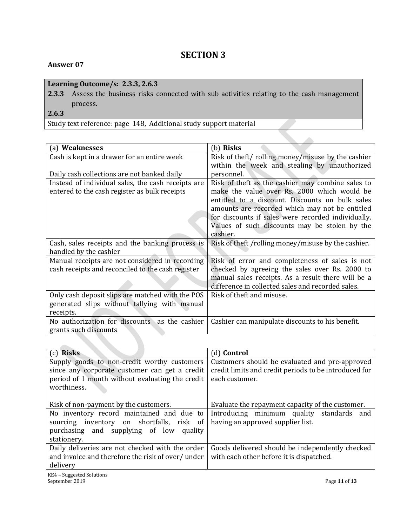# **SECTION 3**

## **Answer 07**

## **Learning Outcome/s: 2.3.3, 2.6.3**

**2.3.3** Assess the business risks connected with sub activities relating to the cash management process.

**2.6.3**

Study text reference: page 148, Additional study support material

| (a) Weaknesses                                                                                                | (b) Risks                                                                                                                                                                                                                                                                                                    |
|---------------------------------------------------------------------------------------------------------------|--------------------------------------------------------------------------------------------------------------------------------------------------------------------------------------------------------------------------------------------------------------------------------------------------------------|
| Cash is kept in a drawer for an entire week                                                                   | Risk of theft/rolling money/misuse by the cashier                                                                                                                                                                                                                                                            |
|                                                                                                               | within the week and stealing by unauthorized                                                                                                                                                                                                                                                                 |
| Daily cash collections are not banked daily                                                                   | personnel.                                                                                                                                                                                                                                                                                                   |
| Instead of individual sales, the cash receipts are<br>entered to the cash register as bulk receipts           | Risk of theft as the cashier may combine sales to<br>make the value over Rs. 2000 which would be<br>entitled to a discount. Discounts on bulk sales<br>amounts are recorded which may not be entitled<br>for discounts if sales were recorded individually.<br>Values of such discounts may be stolen by the |
|                                                                                                               | cashier.                                                                                                                                                                                                                                                                                                     |
| Cash, sales receipts and the banking process is<br>handled by the cashier                                     | Risk of theft /rolling money/misuse by the cashier.                                                                                                                                                                                                                                                          |
| Manual receipts are not considered in recording<br>cash receipts and reconciled to the cash register          | Risk of error and completeness of sales is not<br>checked by agreeing the sales over Rs. 2000 to<br>manual sales receipts. As a result there will be a<br>difference in collected sales and recorded sales.                                                                                                  |
| Only cash deposit slips are matched with the POS<br>generated slips without tallying with manual<br>receipts. | Risk of theft and misuse.                                                                                                                                                                                                                                                                                    |
| No authorization for discounts as the cashier<br>grants such discounts                                        | Cashier can manipulate discounts to his benefit.                                                                                                                                                                                                                                                             |
|                                                                                                               |                                                                                                                                                                                                                                                                                                              |

| $(c)$ Risks                                                                                                                                                    | (d) Control                                                                                                               |
|----------------------------------------------------------------------------------------------------------------------------------------------------------------|---------------------------------------------------------------------------------------------------------------------------|
| Supply goods to non-credit worthy customers<br>since any corporate customer can get a credit<br>period of 1 month without evaluating the credit<br>worthiness. | Customers should be evaluated and pre-approved<br>credit limits and credit periods to be introduced for<br>each customer. |
| Risk of non-payment by the customers.                                                                                                                          | Evaluate the repayment capacity of the customer.                                                                          |
| No inventory record maintained and due to<br>sourcing inventory on shortfalls, risk of<br>purchasing and supplying of low<br>quality<br>stationery.            | Introducing minimum quality standards<br>and<br>having an approved supplier list.                                         |
| Daily deliveries are not checked with the order<br>and invoice and therefore the risk of over/under<br>delivery                                                | Goods delivered should be independently checked<br>with each other before it is dispatched.                               |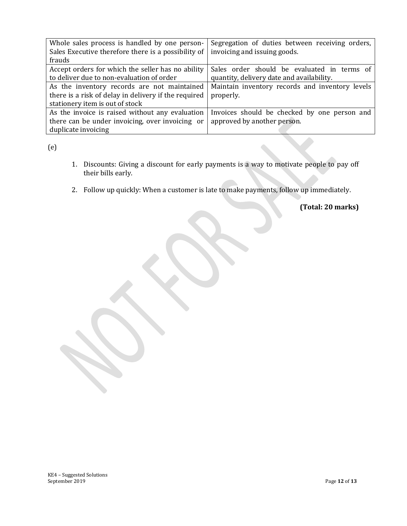| Whole sales process is handled by one person-        | Segregation of duties between receiving orders, |
|------------------------------------------------------|-------------------------------------------------|
| Sales Executive therefore there is a possibility of  | invoicing and issuing goods.                    |
| frauds                                               |                                                 |
| Accept orders for which the seller has no ability    | Sales order should be evaluated in terms of     |
| to deliver due to non-evaluation of order            | quantity, delivery date and availability.       |
| As the inventory records are not maintained          | Maintain inventory records and inventory levels |
| there is a risk of delay in delivery if the required | properly.                                       |
| stationery item is out of stock                      |                                                 |
| As the invoice is raised without any evaluation      | Invoices should be checked by one person and    |
| there can be under invoicing, over invoicing or      | approved by another person.                     |
| duplicate invoicing                                  |                                                 |

(e)

- 1. Discounts: Giving a discount for early payments is a way to motivate people to pay off their bills early.
- 2. Follow up quickly: When a customer is late to make payments, follow up immediately.